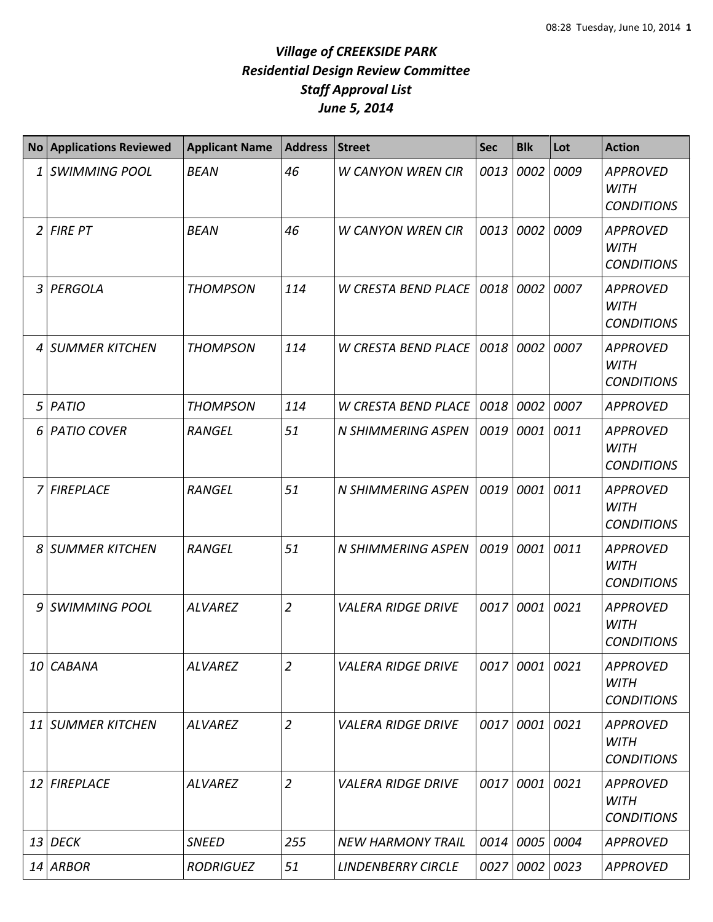| <b>No</b> | <b>Applications Reviewed</b> | <b>Applicant Name</b> | <b>Address</b> | <b>Street</b>              | <b>Sec</b> | <b>Blk</b>     | Lot  | <b>Action</b>                                       |
|-----------|------------------------------|-----------------------|----------------|----------------------------|------------|----------------|------|-----------------------------------------------------|
| 1         | <b>SWIMMING POOL</b>         | <b>BEAN</b>           | 46             | <b>W CANYON WREN CIR</b>   | 0013       | 0002           | 0009 | <b>APPROVED</b><br><b>WITH</b><br><b>CONDITIONS</b> |
| 2         | <b>FIRE PT</b>               | <b>BEAN</b>           | 46             | <b>W CANYON WREN CIR</b>   | 0013       | 0002           | 0009 | <b>APPROVED</b><br><b>WITH</b><br><b>CONDITIONS</b> |
| 3         | PERGOLA                      | <b>THOMPSON</b>       | 114            | <b>W CRESTA BEND PLACE</b> | 0018 0002  |                | 0007 | <b>APPROVED</b><br><b>WITH</b><br><b>CONDITIONS</b> |
| 4         | <b>SUMMER KITCHEN</b>        | <b>THOMPSON</b>       | 114            | <b>W CRESTA BEND PLACE</b> | 0018       | 0002           | 0007 | <b>APPROVED</b><br><b>WITH</b><br><b>CONDITIONS</b> |
| 5         | PATIO                        | <b>THOMPSON</b>       | 114            | W CRESTA BEND PLACE        | 0018 0002  |                | 0007 | <b>APPROVED</b>                                     |
| 6         | <b>PATIO COVER</b>           | <b>RANGEL</b>         | 51             | <b>N SHIMMERING ASPEN</b>  | 0019       | 0001           | 0011 | <b>APPROVED</b><br><b>WITH</b><br><b>CONDITIONS</b> |
| 7         | <b>FIREPLACE</b>             | <b>RANGEL</b>         | 51             | <b>N SHIMMERING ASPEN</b>  |            | 0019 0001      | 0011 | <b>APPROVED</b><br><b>WITH</b><br><b>CONDITIONS</b> |
| 8         | <b>SUMMER KITCHEN</b>        | <b>RANGEL</b>         | 51             | N SHIMMERING ASPEN         | 0019       | 0001           | 0011 | <b>APPROVED</b><br><b>WITH</b><br><b>CONDITIONS</b> |
| 9         | <b>SWIMMING POOL</b>         | <b>ALVAREZ</b>        | $\overline{2}$ | <b>VALERA RIDGE DRIVE</b>  | 0017       | 0001           | 0021 | <b>APPROVED</b><br><b>WITH</b><br><b>CONDITIONS</b> |
| 10        | <b>CABANA</b>                | <b>ALVAREZ</b>        | $\overline{2}$ | <b>VALERA RIDGE DRIVE</b>  |            | 0017 0001 0021 |      | <b>APPROVED</b><br><b>WITH</b><br><b>CONDITIONS</b> |
|           | 11 SUMMER KITCHEN            | <b>ALVAREZ</b>        | $\overline{2}$ | <b>VALERA RIDGE DRIVE</b>  |            | 0017 0001      | 0021 | <b>APPROVED</b><br><b>WITH</b><br><b>CONDITIONS</b> |
|           | 12 FIREPLACE                 | <b>ALVAREZ</b>        | $\overline{2}$ | <b>VALERA RIDGE DRIVE</b>  |            | 0017 0001      | 0021 | <b>APPROVED</b><br><b>WITH</b><br><b>CONDITIONS</b> |
|           | $13$ DECK                    | <b>SNEED</b>          | 255            | <b>NEW HARMONY TRAIL</b>   |            | 0014 0005      | 0004 | <b>APPROVED</b>                                     |
|           | $14$ ARBOR                   | <b>RODRIGUEZ</b>      | 51             | <b>LINDENBERRY CIRCLE</b>  |            | 0027 0002 0023 |      | <b>APPROVED</b>                                     |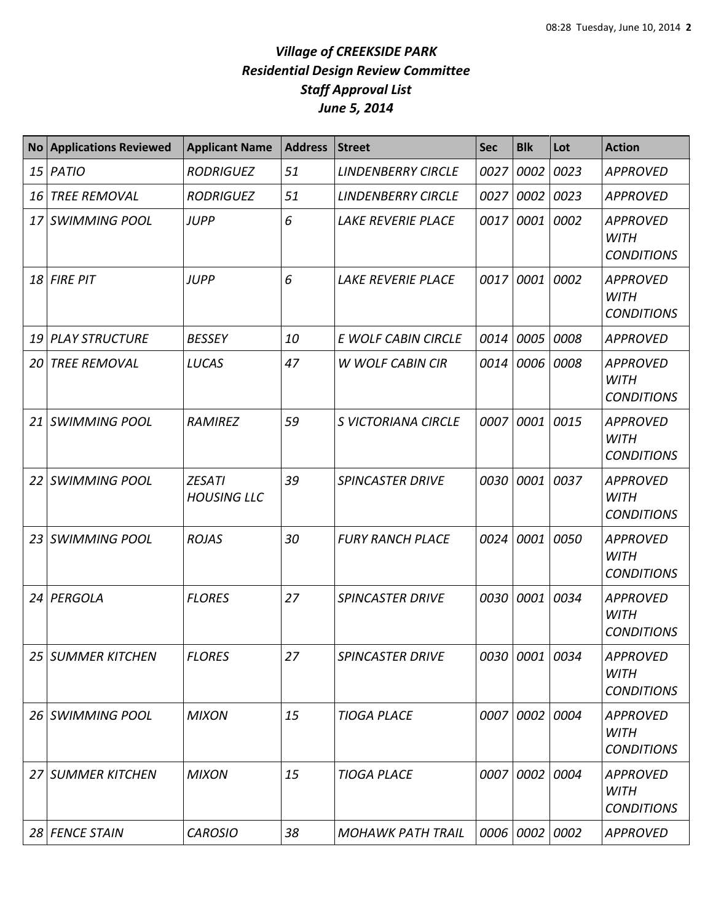| <b>No</b> | <b>Applications Reviewed</b> | <b>Applicant Name</b>               | <b>Address</b> | <b>Street</b>             | <b>Sec</b> | <b>Blk</b>     | Lot       | <b>Action</b>                                       |
|-----------|------------------------------|-------------------------------------|----------------|---------------------------|------------|----------------|-----------|-----------------------------------------------------|
| 15        | PATIO                        | <b>RODRIGUEZ</b>                    | 51             | <b>LINDENBERRY CIRCLE</b> | 0027       | 0002           | 0023      | <b>APPROVED</b>                                     |
| 16        | <b>TREE REMOVAL</b>          | <b>RODRIGUEZ</b>                    | 51             | <b>LINDENBERRY CIRCLE</b> | 0027       | 0002           | 0023      | <b>APPROVED</b>                                     |
| 17        | <b>SWIMMING POOL</b>         | <b>JUPP</b>                         | 6              | <b>LAKE REVERIE PLACE</b> | 0017       | 0001           | 0002      | <b>APPROVED</b><br><b>WITH</b><br><b>CONDITIONS</b> |
| 18        | <b>FIRE PIT</b>              | <b>JUPP</b>                         | 6              | <b>LAKE REVERIE PLACE</b> | 0017       | 0001           | 0002      | <b>APPROVED</b><br><b>WITH</b><br><b>CONDITIONS</b> |
| 19        | <b>PLAY STRUCTURE</b>        | <b>BESSEY</b>                       | 10             | E WOLF CABIN CIRCLE       | 0014       | 0005           | 0008      | <b>APPROVED</b>                                     |
| 20        | <b>TREE REMOVAL</b>          | <b>LUCAS</b>                        | 47             | <b>W WOLF CABIN CIR</b>   | 0014       |                | 0006 0008 | <b>APPROVED</b><br><b>WITH</b><br><b>CONDITIONS</b> |
| 21        | <b>SWIMMING POOL</b>         | RAMIREZ                             | 59             | S VICTORIANA CIRCLE       | 0007       | 0001           | 0015      | <b>APPROVED</b><br><b>WITH</b><br><b>CONDITIONS</b> |
| 22        | <b>SWIMMING POOL</b>         | <b>ZESATI</b><br><b>HOUSING LLC</b> | 39             | <b>SPINCASTER DRIVE</b>   | 0030       | 0001           | 0037      | <b>APPROVED</b><br><b>WITH</b><br><b>CONDITIONS</b> |
| 23        | <b>SWIMMING POOL</b>         | <b>ROJAS</b>                        | 30             | <b>FURY RANCH PLACE</b>   | 0024       | 0001           | 0050      | <b>APPROVED</b><br><b>WITH</b><br><b>CONDITIONS</b> |
| 24        | PERGOLA                      | <b>FLORES</b>                       | 27             | <b>SPINCASTER DRIVE</b>   | 0030       | 0001           | 0034      | <b>APPROVED</b><br><b>WITH</b><br><b>CONDITIONS</b> |
|           | 25 SUMMER KITCHEN            | <b>FLORES</b>                       | 27             | SPINCASTER DRIVE          |            | 0030 0001 0034 |           | <b>APPROVED</b><br>WITH<br><b>CONDITIONS</b>        |
| 26        | SWIMMING POOL                | <b>MIXON</b>                        | 15             | <b>TIOGA PLACE</b>        | 0007       | 0002 0004      |           | <b>APPROVED</b><br><b>WITH</b><br><b>CONDITIONS</b> |
| 27        | <b>SUMMER KITCHEN</b>        | <b>MIXON</b>                        | 15             | <b>TIOGA PLACE</b>        | 0007       | 0002 0004      |           | <b>APPROVED</b><br>WITH<br><b>CONDITIONS</b>        |
|           | 28 FENCE STAIN               | <b>CAROSIO</b>                      | 38             | <b>MOHAWK PATH TRAIL</b>  |            | 0006 0002 0002 |           | <b>APPROVED</b>                                     |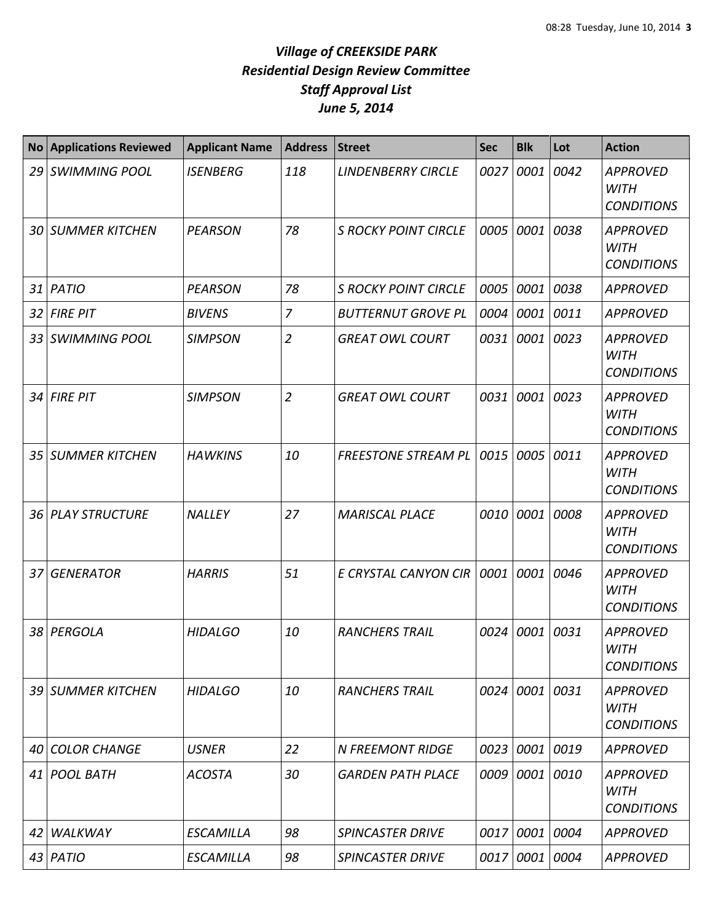| <b>No</b> | <b>Applications Reviewed</b> | <b>Applicant Name</b> | <b>Address</b> | <b>Street</b>               | <b>Sec</b> | <b>Blk</b> | Lot  | <b>Action</b>                                       |
|-----------|------------------------------|-----------------------|----------------|-----------------------------|------------|------------|------|-----------------------------------------------------|
|           | 29 SWIMMING POOL             | <b>ISENBERG</b>       | 118            | <b>LINDENBERRY CIRCLE</b>   | 0027       | 0001       | 0042 | <b>APPROVED</b><br><b>WITH</b><br><b>CONDITIONS</b> |
|           | <b>30 SUMMER KITCHEN</b>     | <b>PEARSON</b>        | 78             | <b>S ROCKY POINT CIRCLE</b> | 0005       | 0001       | 0038 | <b>APPROVED</b><br><b>WITH</b><br><b>CONDITIONS</b> |
|           | 31 PATIO                     | <b>PEARSON</b>        | 78             | <b>S ROCKY POINT CIRCLE</b> | 0005       | 0001       | 0038 | <b>APPROVED</b>                                     |
|           | 32 FIRE PIT                  | <b>BIVENS</b>         | $\overline{7}$ | <b>BUTTERNUT GROVE PL</b>   | 0004       | 0001       | 0011 | <b>APPROVED</b>                                     |
|           | 33 SWIMMING POOL             | <b>SIMPSON</b>        | $\overline{2}$ | <b>GREAT OWL COURT</b>      | 0031       | 0001 0023  |      | <b>APPROVED</b><br><b>WITH</b><br><b>CONDITIONS</b> |
|           | 34 FIRE PIT                  | <b>SIMPSON</b>        | $\overline{2}$ | <b>GREAT OWL COURT</b>      | 0031       | 0001       | 0023 | <b>APPROVED</b><br><b>WITH</b><br><b>CONDITIONS</b> |
|           | 35 SUMMER KITCHEN            | <b>HAWKINS</b>        | 10             | <b>FREESTONE STREAM PL</b>  | 0015       | 0005       | 0011 | <b>APPROVED</b><br><b>WITH</b><br><b>CONDITIONS</b> |
|           | 36 PLAY STRUCTURE            | <b>NALLEY</b>         | 27             | <b>MARISCAL PLACE</b>       | 0010       | 0001       | 0008 | <b>APPROVED</b><br><b>WITH</b><br><b>CONDITIONS</b> |
| 37        | <b>GENERATOR</b>             | <b>HARRIS</b>         | 51             | E CRYSTAL CANYON CIR        | 0001       | 0001       | 0046 | <b>APPROVED</b><br><b>WITH</b><br><b>CONDITIONS</b> |
|           | 38 PERGOLA                   | <b>HIDALGO</b>        | 10             | <b>RANCHERS TRAIL</b>       | 0024       | 0001       | 0031 | <b>APPROVED</b><br><b>WITH</b><br><b>CONDITIONS</b> |
|           | 39 SUMMER KITCHEN            | <b>HIDALGO</b>        | 10             | <b>RANCHERS TRAIL</b>       | 0024       | 0001 0031  |      | <b>APPROVED</b><br>WITH<br><b>CONDITIONS</b>        |
|           | 40 COLOR CHANGE              | <b>USNER</b>          | 22             | <b>N FREEMONT RIDGE</b>     | 0023       | 0001       | 0019 | <b>APPROVED</b>                                     |
|           | 41 POOL BATH                 | <b>ACOSTA</b>         | 30             | <b>GARDEN PATH PLACE</b>    | 0009       | 0001 0010  |      | <b>APPROVED</b><br>WITH<br><b>CONDITIONS</b>        |
| 42        | <b>WALKWAY</b>               | ESCAMILLA             | 98             | <b>SPINCASTER DRIVE</b>     | 0017       | 0001 0004  |      | <b>APPROVED</b>                                     |
|           | 43 PATIO                     | ESCAMILLA             | 98             | <b>SPINCASTER DRIVE</b>     | 0017       | 0001       | 0004 | <b>APPROVED</b>                                     |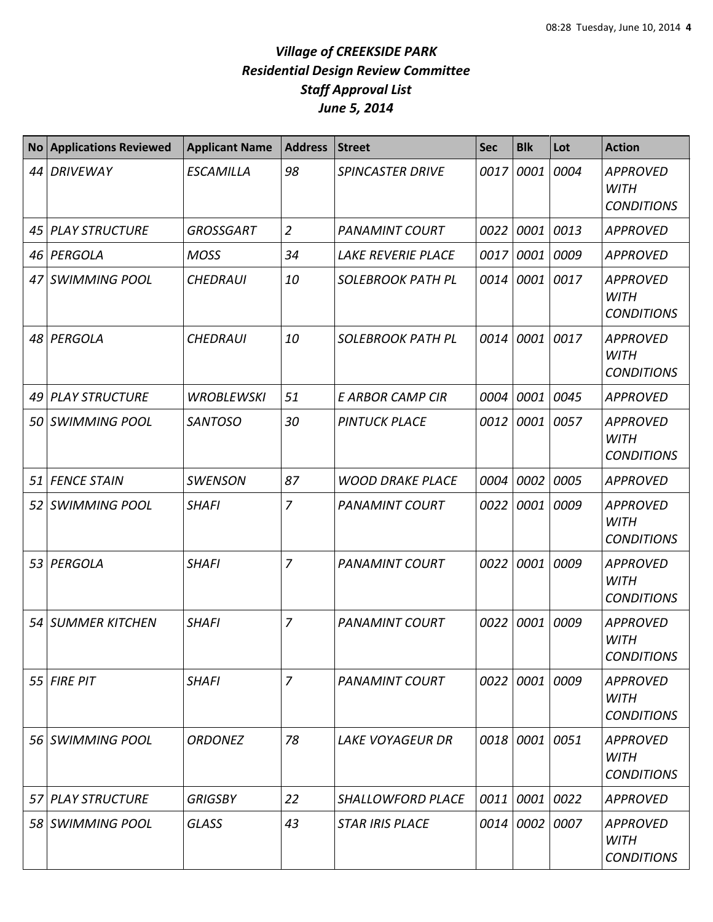| <b>No</b> | <b>Applications Reviewed</b> | <b>Applicant Name</b> | <b>Address</b> | <b>Street</b>             | <b>Sec</b> | <b>Blk</b>     | Lot  | <b>Action</b>                                       |
|-----------|------------------------------|-----------------------|----------------|---------------------------|------------|----------------|------|-----------------------------------------------------|
|           | 44 DRIVEWAY                  | <b>ESCAMILLA</b>      | 98             | <b>SPINCASTER DRIVE</b>   | 0017       | 0001           | 0004 | <b>APPROVED</b><br><b>WITH</b><br><b>CONDITIONS</b> |
|           | 45 PLAY STRUCTURE            | <b>GROSSGART</b>      | $\overline{2}$ | <b>PANAMINT COURT</b>     | 0022       | 0001           | 0013 | <b>APPROVED</b>                                     |
|           | 46 PERGOLA                   | <b>MOSS</b>           | 34             | <b>LAKE REVERIE PLACE</b> | 0017       | 0001           | 0009 | <b>APPROVED</b>                                     |
|           | 47 SWIMMING POOL             | <b>CHEDRAUI</b>       | 10             | <b>SOLEBROOK PATH PL</b>  | 0014       | 0001           | 0017 | <b>APPROVED</b><br><b>WITH</b><br><b>CONDITIONS</b> |
|           | 48 PERGOLA                   | <b>CHEDRAUI</b>       | 10             | <b>SOLEBROOK PATH PL</b>  | 0014       | 0001           | 0017 | <b>APPROVED</b><br><b>WITH</b><br><b>CONDITIONS</b> |
|           | 49 PLAY STRUCTURE            | <b>WROBLEWSKI</b>     | 51             | <b>E ARBOR CAMP CIR</b>   | 0004       | 0001           | 0045 | <b>APPROVED</b>                                     |
|           | 50 SWIMMING POOL             | <b>SANTOSO</b>        | 30             | <b>PINTUCK PLACE</b>      | 0012       | 0001           | 0057 | <b>APPROVED</b><br><b>WITH</b><br><b>CONDITIONS</b> |
|           | 51 FENCE STAIN               | <b>SWENSON</b>        | 87             | <b>WOOD DRAKE PLACE</b>   | 0004       | 0002           | 0005 | <b>APPROVED</b>                                     |
|           | 52 SWIMMING POOL             | <b>SHAFI</b>          | $\overline{7}$ | <b>PANAMINT COURT</b>     | 0022       | 0001           | 0009 | <b>APPROVED</b><br><b>WITH</b><br><b>CONDITIONS</b> |
|           | 53 PERGOLA                   | <b>SHAFI</b>          | $\overline{7}$ | <b>PANAMINT COURT</b>     |            | 0022 0001      | 0009 | <b>APPROVED</b><br><b>WITH</b><br><b>CONDITIONS</b> |
|           | 54 SUMMER KITCHEN            | <b>SHAFI</b>          | $\overline{7}$ | <b>PANAMINT COURT</b>     | 0022       | 0001           | 0009 | <b>APPROVED</b><br><b>WITH</b><br><b>CONDITIONS</b> |
|           | 55 FIRE PIT                  | <b>SHAFI</b>          | $\overline{7}$ | <b>PANAMINT COURT</b>     |            | 0022 0001 0009 |      | <b>APPROVED</b><br><b>WITH</b><br><b>CONDITIONS</b> |
|           | 56 SWIMMING POOL             | <b>ORDONEZ</b>        | 78             | <b>LAKE VOYAGEUR DR</b>   |            | 0018 0001 0051 |      | <b>APPROVED</b><br>WITH<br><b>CONDITIONS</b>        |
|           | 57 PLAY STRUCTURE            | <b>GRIGSBY</b>        | 22             | <b>SHALLOWFORD PLACE</b>  |            | 0011 0001 0022 |      | <b>APPROVED</b>                                     |
|           | 58 SWIMMING POOL             | <b>GLASS</b>          | 43             | <b>STAR IRIS PLACE</b>    |            | 0014 0002 0007 |      | <b>APPROVED</b><br>WITH<br><b>CONDITIONS</b>        |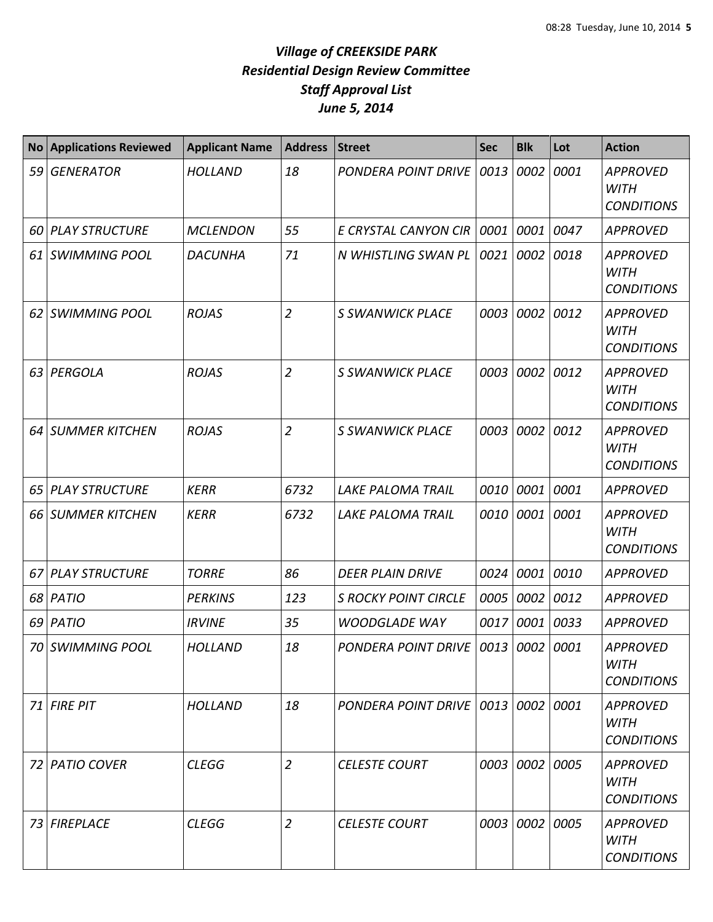| <b>No</b> | <b>Applications Reviewed</b> | <b>Applicant Name</b> | <b>Address</b> | <b>Street</b>                      | <b>Sec</b> | <b>Blk</b> | Lot       | <b>Action</b>                                       |
|-----------|------------------------------|-----------------------|----------------|------------------------------------|------------|------------|-----------|-----------------------------------------------------|
| 59        | <b>GENERATOR</b>             | <b>HOLLAND</b>        | 18             | <b>PONDERA POINT DRIVE</b>         | 0013       | 0002       | 0001      | <b>APPROVED</b><br><b>WITH</b><br><b>CONDITIONS</b> |
| 60        | <b>PLAY STRUCTURE</b>        | <b>MCLENDON</b>       | 55             | E CRYSTAL CANYON CIR               | 0001       | 0001       | 0047      | <b>APPROVED</b>                                     |
| 61        | <b>SWIMMING POOL</b>         | <b>DACUNHA</b>        | 71             | N WHISTLING SWAN PL                | 0021       |            | 0002 0018 | <b>APPROVED</b><br><b>WITH</b><br><b>CONDITIONS</b> |
| 62        | <b>SWIMMING POOL</b>         | <b>ROJAS</b>          | $\overline{2}$ | <b>S SWANWICK PLACE</b>            | 0003       | 0002       | 0012      | <b>APPROVED</b><br><b>WITH</b><br><b>CONDITIONS</b> |
| 63        | PERGOLA                      | <b>ROJAS</b>          | $\overline{2}$ | <b>S SWANWICK PLACE</b>            | 0003       | 0002       | 0012      | <b>APPROVED</b><br><b>WITH</b><br><b>CONDITIONS</b> |
| 64        | <b>SUMMER KITCHEN</b>        | <b>ROJAS</b>          | $\overline{2}$ | <b>S SWANWICK PLACE</b>            | 0003       | 0002       | 0012      | <b>APPROVED</b><br><b>WITH</b><br><b>CONDITIONS</b> |
| 65        | <b>PLAY STRUCTURE</b>        | <b>KERR</b>           | 6732           | <b>LAKE PALOMA TRAIL</b>           | 0010       | 0001 0001  |           | <b>APPROVED</b>                                     |
| 66        | <b>SUMMER KITCHEN</b>        | <b>KERR</b>           | 6732           | LAKE PALOMA TRAIL                  | 0010       | 0001       | 0001      | <b>APPROVED</b><br><b>WITH</b><br><b>CONDITIONS</b> |
| 67        | <b>PLAY STRUCTURE</b>        | <b>TORRE</b>          | 86             | <b>DEER PLAIN DRIVE</b>            | 0024       | 0001       | 0010      | <b>APPROVED</b>                                     |
| 68        | <b>PATIO</b>                 | <b>PERKINS</b>        | 123            | <b>S ROCKY POINT CIRCLE</b>        | 0005       | 0002       | 0012      | <b>APPROVED</b>                                     |
| 69        | PATIO                        | <b>IRVINE</b>         | 35             | <b>WOODGLADE WAY</b>               | 0017       | 0001       | 0033      | <b>APPROVED</b>                                     |
| 70 I      | <b>SWIMMING POOL</b>         | <b>HOLLAND</b>        | 18             | PONDERA POINT DRIVE                | 0013       | 0002 0001  |           | <b>APPROVED</b><br><b>WITH</b><br><b>CONDITIONS</b> |
|           | $71$ FIRE PIT                | <b>HOLLAND</b>        | 18             | PONDERA POINT DRIVE 0013 0002 0001 |            |            |           | <b>APPROVED</b><br><b>WITH</b><br><b>CONDITIONS</b> |
| 72 I      | <b>PATIO COVER</b>           | <b>CLEGG</b>          | $\overline{2}$ | <b>CELESTE COURT</b>               | 0003       | 0002 0005  |           | <b>APPROVED</b><br><b>WITH</b><br><b>CONDITIONS</b> |
| 73        | <b>FIREPLACE</b>             | <b>CLEGG</b>          | $\overline{2}$ | <b>CELESTE COURT</b>               | 0003       | 0002 0005  |           | <b>APPROVED</b><br>WITH<br><b>CONDITIONS</b>        |